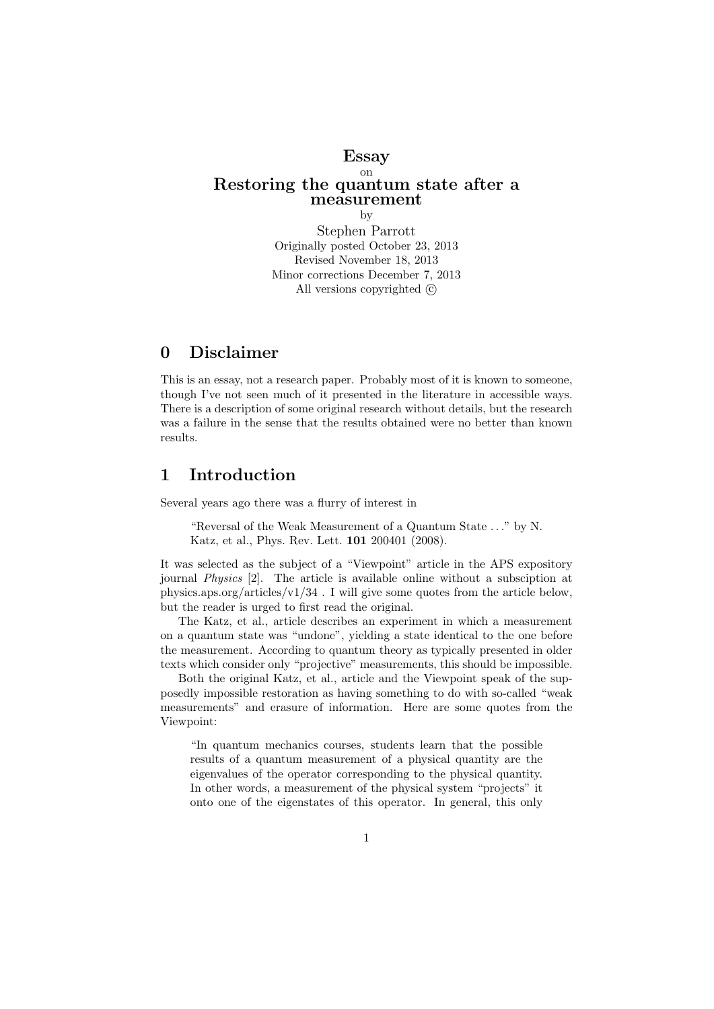## Essay on Restoring the quantum state after a measurement by

Stephen Parrott Originally posted October 23, 2013 Revised November 18, 2013 Minor corrections December 7, 2013 All versions copyrighted  $\odot$ 

# 0 Disclaimer

This is an essay, not a research paper. Probably most of it is known to someone, though I've not seen much of it presented in the literature in accessible ways. There is a description of some original research without details, but the research was a failure in the sense that the results obtained were no better than known results.

## 1 Introduction

Several years ago there was a flurry of interest in

"Reversal of the Weak Measurement of a Quantum State . . ." by N. Katz, et al., Phys. Rev. Lett. 101 200401 (2008).

It was selected as the subject of a "Viewpoint" article in the APS expository journal Physics [2]. The article is available online without a subsciption at physics.aps.org/articles/v1/34 . I will give some quotes from the article below, but the reader is urged to first read the original.

The Katz, et al., article describes an experiment in which a measurement on a quantum state was "undone", yielding a state identical to the one before the measurement. According to quantum theory as typically presented in older texts which consider only "projective" measurements, this should be impossible.

Both the original Katz, et al., article and the Viewpoint speak of the supposedly impossible restoration as having something to do with so-called "weak measurements" and erasure of information. Here are some quotes from the Viewpoint:

"In quantum mechanics courses, students learn that the possible results of a quantum measurement of a physical quantity are the eigenvalues of the operator corresponding to the physical quantity. In other words, a measurement of the physical system "projects" it onto one of the eigenstates of this operator. In general, this only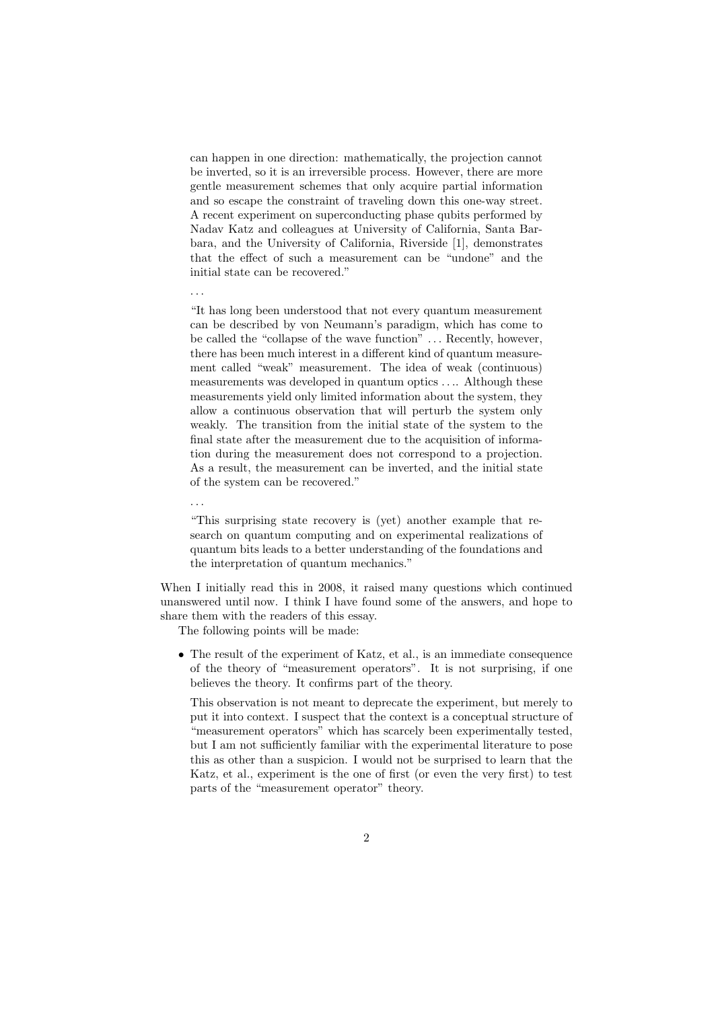can happen in one direction: mathematically, the projection cannot be inverted, so it is an irreversible process. However, there are more gentle measurement schemes that only acquire partial information and so escape the constraint of traveling down this one-way street. A recent experiment on superconducting phase qubits performed by Nadav Katz and colleagues at University of California, Santa Barbara, and the University of California, Riverside [1], demonstrates that the effect of such a measurement can be "undone" and the initial state can be recovered."

. . .

. . .

"It has long been understood that not every quantum measurement can be described by von Neumann's paradigm, which has come to be called the "collapse of the wave function" ... Recently, however, there has been much interest in a different kind of quantum measurement called "weak" measurement. The idea of weak (continuous) measurements was developed in quantum optics . . .. Although these measurements yield only limited information about the system, they allow a continuous observation that will perturb the system only weakly. The transition from the initial state of the system to the final state after the measurement due to the acquisition of information during the measurement does not correspond to a projection. As a result, the measurement can be inverted, and the initial state of the system can be recovered."

"This surprising state recovery is (yet) another example that research on quantum computing and on experimental realizations of quantum bits leads to a better understanding of the foundations and the interpretation of quantum mechanics."

When I initially read this in 2008, it raised many questions which continued unanswered until now. I think I have found some of the answers, and hope to share them with the readers of this essay.

The following points will be made:

• The result of the experiment of Katz, et al., is an immediate consequence of the theory of "measurement operators". It is not surprising, if one believes the theory. It confirms part of the theory.

This observation is not meant to deprecate the experiment, but merely to put it into context. I suspect that the context is a conceptual structure of "measurement operators" which has scarcely been experimentally tested, but I am not sufficiently familiar with the experimental literature to pose this as other than a suspicion. I would not be surprised to learn that the Katz, et al., experiment is the one of first (or even the very first) to test parts of the "measurement operator" theory.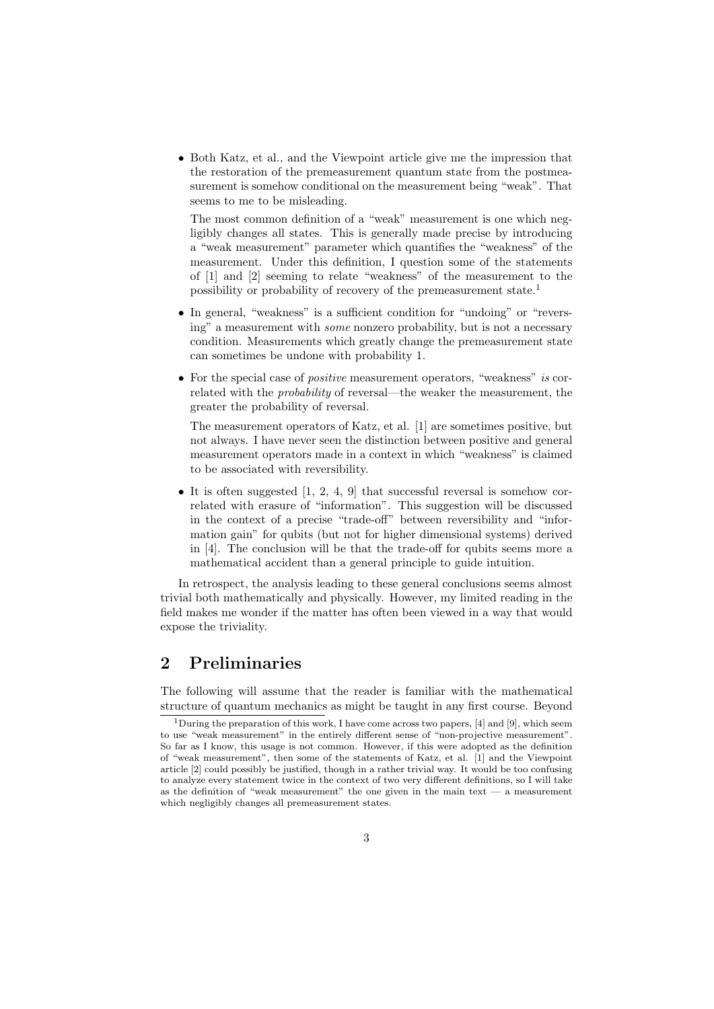• Both Katz, et al., and the Viewpoint article give me the impression that the restoration of the premeasurement quantum state from the postmeasurement is somehow conditional on the measurement being "weak". That seems to me to be misleading.

The most common definition of a "weak" measurement is one which negligibly changes all states. This is generally made precise by introducing a "weak measurement" parameter which quantifies the "weakness" of the measurement. Under this definition, I question some of the statements of [1] and [2] seeming to relate "weakness" of the measurement to the possibility or probability of recovery of the premeasurement state.<sup>1</sup>

- In general, "weakness" is a sufficient condition for "undoing" or "reversing" a measurement with some nonzero probability, but is not a necessary condition. Measurements which greatly change the premeasurement state can sometimes be undone with probability 1.
- For the special case of *positive* measurement operators, "weakness" is correlated with the probability of reversal—the weaker the measurement, the greater the probability of reversal.

The measurement operators of Katz, et al. [1] are sometimes positive, but not always. I have never seen the distinction between positive and general measurement operators made in a context in which "weakness" is claimed to be associated with reversibility.

• It is often suggested  $[1, 2, 4, 9]$  that successful reversal is somehow correlated with erasure of "information". This suggestion will be discussed in the context of a precise "trade-off" between reversibility and "information gain" for qubits (but not for higher dimensional systems) derived in [4]. The conclusion will be that the trade-off for qubits seems more a mathematical accident than a general principle to guide intuition.

In retrospect, the analysis leading to these general conclusions seems almost trivial both mathematically and physically. However, my limited reading in the field makes me wonder if the matter has often been viewed in a way that would expose the triviality.

# 2 Preliminaries

The following will assume that the reader is familiar with the mathematical structure of quantum mechanics as might be taught in any first course. Beyond

<sup>&</sup>lt;sup>1</sup>During the preparation of this work, I have come across two papers, [4] and [9], which seem to use "weak measurement" in the entirely different sense of "non-projective measurement". So far as I know, this usage is not common. However, if this were adopted as the definition of "weak measurement", then some of the statements of Katz, et al. [1] and the Viewpoint article [2] could possibly be justified, though in a rather trivial way. It would be too confusing to analyze every statement twice in the context of two very different definitions, so I will take as the definition of "weak measurement" the one given in the main text — a measurement which negligibly changes all premeasurement states.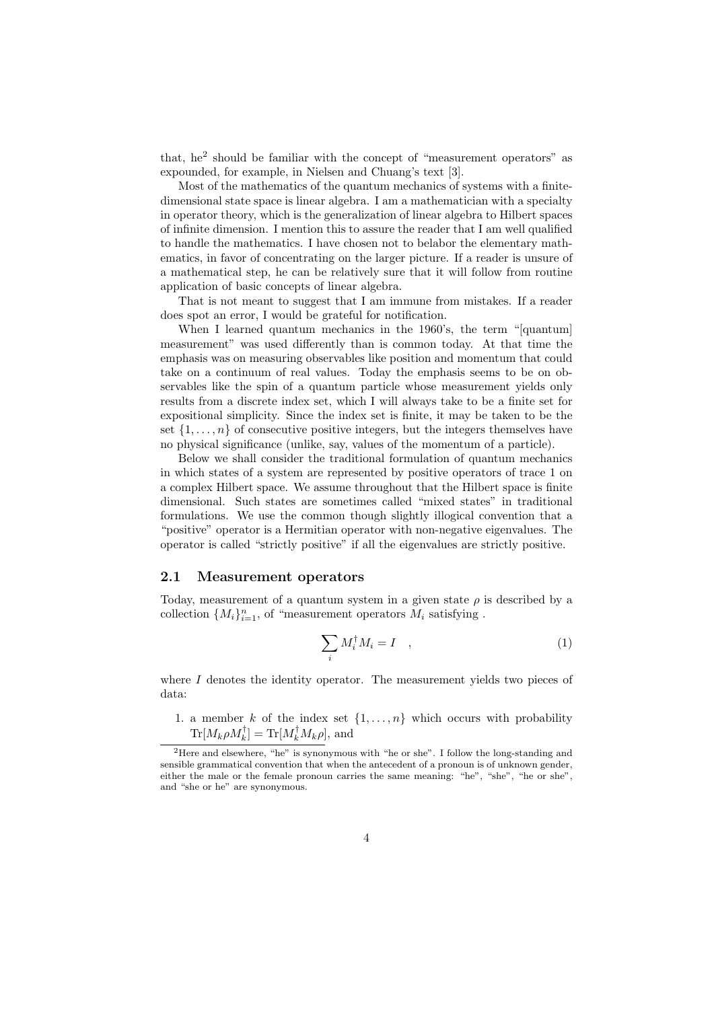that, he<sup>2</sup> should be familiar with the concept of "measurement operators" as expounded, for example, in Nielsen and Chuang's text [3].

Most of the mathematics of the quantum mechanics of systems with a finitedimensional state space is linear algebra. I am a mathematician with a specialty in operator theory, which is the generalization of linear algebra to Hilbert spaces of infinite dimension. I mention this to assure the reader that I am well qualified to handle the mathematics. I have chosen not to belabor the elementary mathematics, in favor of concentrating on the larger picture. If a reader is unsure of a mathematical step, he can be relatively sure that it will follow from routine application of basic concepts of linear algebra.

That is not meant to suggest that I am immune from mistakes. If a reader does spot an error, I would be grateful for notification.

When I learned quantum mechanics in the 1960's, the term "[quantum] measurement" was used differently than is common today. At that time the emphasis was on measuring observables like position and momentum that could take on a continuum of real values. Today the emphasis seems to be on observables like the spin of a quantum particle whose measurement yields only results from a discrete index set, which I will always take to be a finite set for expositional simplicity. Since the index set is finite, it may be taken to be the set  $\{1, \ldots, n\}$  of consecutive positive integers, but the integers themselves have no physical significance (unlike, say, values of the momentum of a particle).

Below we shall consider the traditional formulation of quantum mechanics in which states of a system are represented by positive operators of trace 1 on a complex Hilbert space. We assume throughout that the Hilbert space is finite dimensional. Such states are sometimes called "mixed states" in traditional formulations. We use the common though slightly illogical convention that a "positive" operator is a Hermitian operator with non-negative eigenvalues. The operator is called "strictly positive" if all the eigenvalues are strictly positive.

#### 2.1 Measurement operators

Today, measurement of a quantum system in a given state  $\rho$  is described by a collection  $\{M_i\}_{i=1}^n$ , of "measurement operators  $M_i$  satisfying.

$$
\sum_{i} M_i^{\dagger} M_i = I \quad , \tag{1}
$$

where  $I$  denotes the identity operator. The measurement yields two pieces of data:

1. a member k of the index set  $\{1, \ldots, n\}$  which occurs with probability  $\text{Tr}[M_k \rho M_k^{\dagger}] = \text{Tr}[M_k^{\dagger} M_k \rho],$  and

<sup>2</sup>Here and elsewhere, "he" is synonymous with "he or she". I follow the long-standing and sensible grammatical convention that when the antecedent of a pronoun is of unknown gender, either the male or the female pronoun carries the same meaning: "he", "she", "he or she", and "she or he" are synonymous.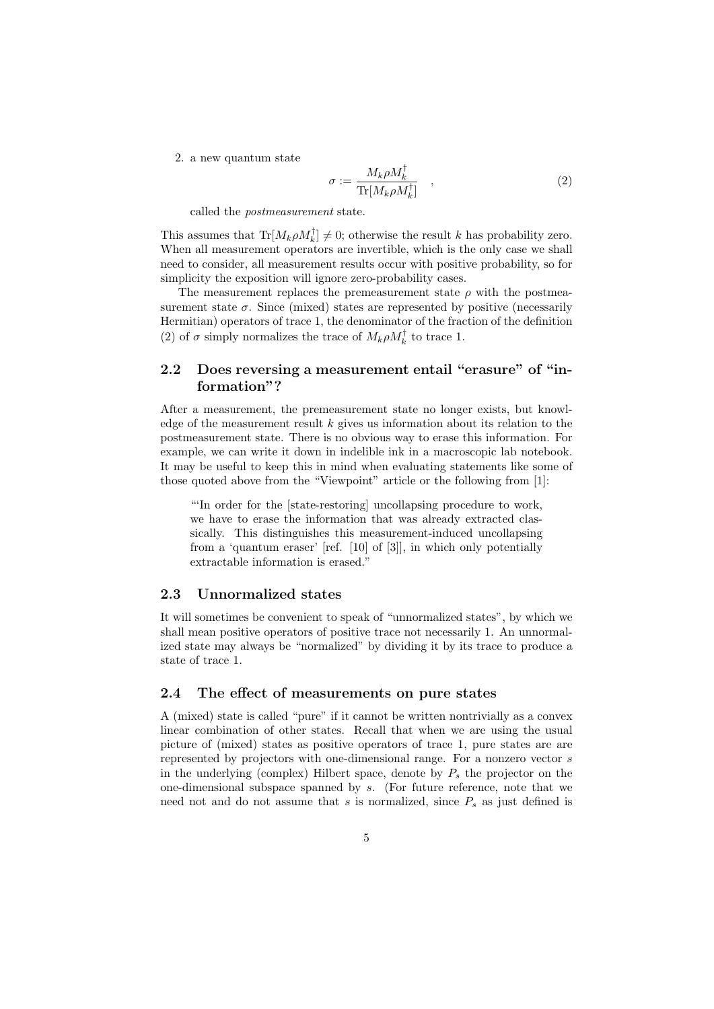2. a new quantum state

$$
\sigma := \frac{M_k \rho M_k^{\dagger}}{\text{Tr}[M_k \rho M_k^{\dagger}]} \quad , \tag{2}
$$

called the postmeasurement state.

This assumes that  $\text{Tr}[M_k \rho M_k^{\dagger}] \neq 0$ ; otherwise the result k has probability zero. When all measurement operators are invertible, which is the only case we shall need to consider, all measurement results occur with positive probability, so for simplicity the exposition will ignore zero-probability cases.

The measurement replaces the premeasurement state  $\rho$  with the postmeasurement state  $\sigma$ . Since (mixed) states are represented by positive (necessarily Hermitian) operators of trace 1, the denominator of the fraction of the definition (2) of  $\sigma$  simply normalizes the trace of  $M_k \rho M_k^{\dagger}$  to trace 1.

## 2.2 Does reversing a measurement entail "erasure" of "information"?

After a measurement, the premeasurement state no longer exists, but knowledge of the measurement result  $k$  gives us information about its relation to the postmeasurement state. There is no obvious way to erase this information. For example, we can write it down in indelible ink in a macroscopic lab notebook. It may be useful to keep this in mind when evaluating statements like some of those quoted above from the "Viewpoint" article or the following from [1]:

"'In order for the [state-restoring] uncollapsing procedure to work, we have to erase the information that was already extracted classically. This distinguishes this measurement-induced uncollapsing from a 'quantum eraser' [ref. [10] of [3]], in which only potentially extractable information is erased."

### 2.3 Unnormalized states

It will sometimes be convenient to speak of "unnormalized states", by which we shall mean positive operators of positive trace not necessarily 1. An unnormalized state may always be "normalized" by dividing it by its trace to produce a state of trace 1.

#### 2.4 The effect of measurements on pure states

A (mixed) state is called "pure" if it cannot be written nontrivially as a convex linear combination of other states. Recall that when we are using the usual picture of (mixed) states as positive operators of trace 1, pure states are are represented by projectors with one-dimensional range. For a nonzero vector s in the underlying (complex) Hilbert space, denote by  $P_s$  the projector on the one-dimensional subspace spanned by s. (For future reference, note that we need not and do not assume that s is normalized, since  $P_s$  as just defined is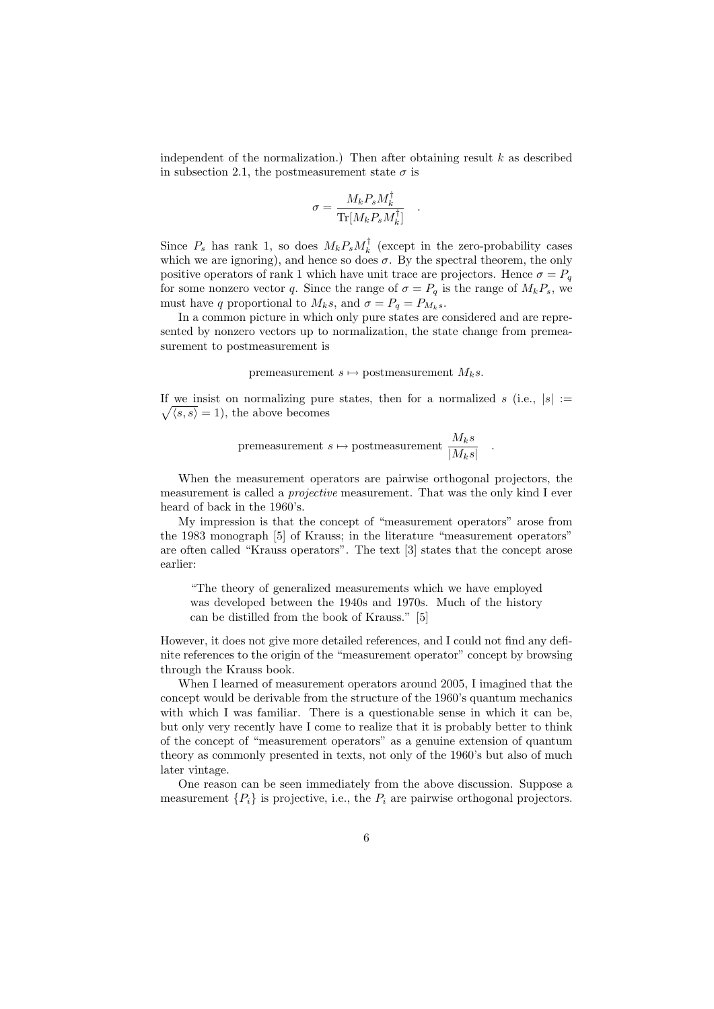independent of the normalization.) Then after obtaining result  $k$  as described in subsection 2.1, the postmeasurement state  $\sigma$  is

$$
\sigma = \frac{M_k P_s M_k^\dagger}{{\rm Tr}[M_k P_s M_k^\dagger]} \quad .
$$

Since  $P_s$  has rank 1, so does  $M_k P_s M_k^{\dagger}$  (except in the zero-probability cases which we are ignoring), and hence so does  $\sigma$ . By the spectral theorem, the only positive operators of rank 1 which have unit trace are projectors. Hence  $\sigma = P_q$ for some nonzero vector q. Since the range of  $\sigma = P_q$  is the range of  $M_k P_s$ , we must have q proportional to  $M_k s$ , and  $\sigma = P_q = P_{M_k s}$ .

In a common picture in which only pure states are considered and are represented by nonzero vectors up to normalization, the state change from premeasurement to postmeasurement is

premeasurement  $s \mapsto$  postmeasurement  $M_ks$ .

If we insist on normalizing pure states, then for a normalized s (i.e.,  $|s| :=$  $\sqrt{\langle s, s \rangle} = 1$ , the above becomes

premeasurement 
$$
s \mapsto
$$
 postmeasurement  $\frac{M_k s}{|M_k s|}$ 

.

When the measurement operators are pairwise orthogonal projectors, the measurement is called a *projective* measurement. That was the only kind I even heard of back in the 1960's.

My impression is that the concept of "measurement operators" arose from the 1983 monograph [5] of Krauss; in the literature "measurement operators" are often called "Krauss operators". The text [3] states that the concept arose earlier:

"The theory of generalized measurements which we have employed was developed between the 1940s and 1970s. Much of the history can be distilled from the book of Krauss." [5]

However, it does not give more detailed references, and I could not find any definite references to the origin of the "measurement operator" concept by browsing through the Krauss book.

When I learned of measurement operators around 2005, I imagined that the concept would be derivable from the structure of the 1960's quantum mechanics with which I was familiar. There is a questionable sense in which it can be, but only very recently have I come to realize that it is probably better to think of the concept of "measurement operators" as a genuine extension of quantum theory as commonly presented in texts, not only of the 1960's but also of much later vintage.

One reason can be seen immediately from the above discussion. Suppose a measurement  $\{P_i\}$  is projective, i.e., the  $P_i$  are pairwise orthogonal projectors.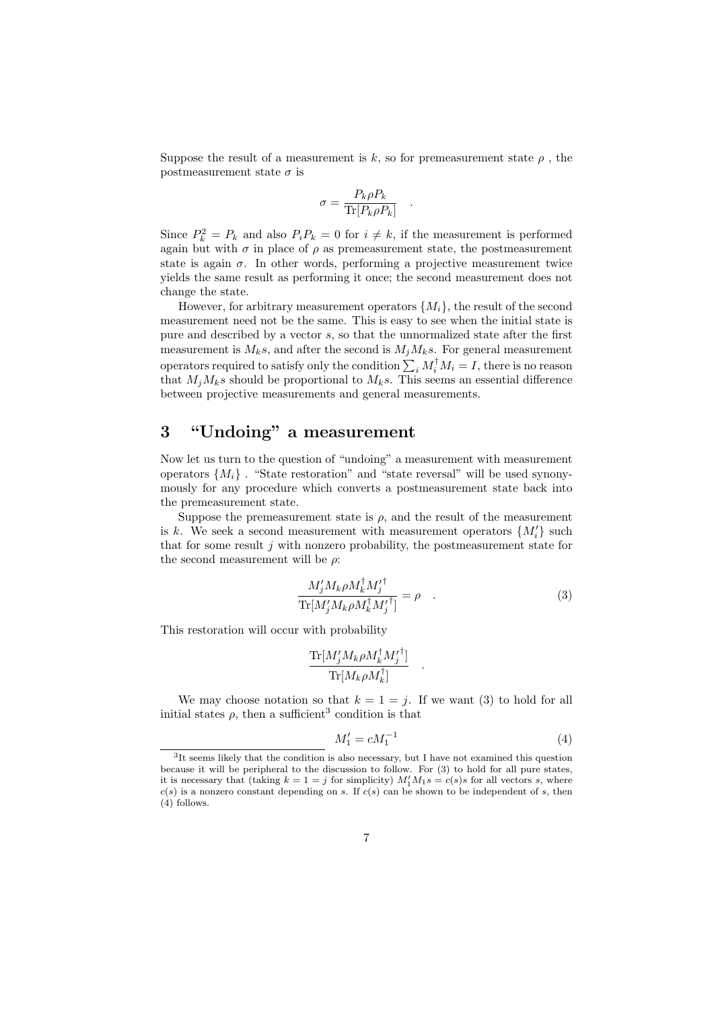Suppose the result of a measurement is k, so for premeasurement state  $\rho$ , the postmeasurement state  $\sigma$  is

$$
\sigma = \frac{P_k \rho P_k}{\text{Tr}[P_k \rho P_k]}
$$

.

Since  $P_k^2 = P_k$  and also  $P_i P_k = 0$  for  $i \neq k$ , if the measurement is performed again but with  $\sigma$  in place of  $\rho$  as premeasurement state, the postmeasurement state is again  $\sigma$ . In other words, performing a projective measurement twice yields the same result as performing it once; the second measurement does not change the state.

However, for arbitrary measurement operators  $\{M_i\}$ , the result of the second measurement need not be the same. This is easy to see when the initial state is pure and described by a vector s, so that the unnormalized state after the first measurement is  $M_ks$ , and after the second is  $M_iM_ks$ . For general measurement operators required to satisfy only the condition  $\sum_i M_i^{\dagger} M_i = I$ , there is no reason that  $M_iM_ks$  should be proportional to  $M_ks$ . This seems an essential difference between projective measurements and general measurements.

# 3 "Undoing" a measurement

Now let us turn to the question of "undoing" a measurement with measurement operators  $\{M_i\}$ . "State restoration" and "state reversal" will be used synonymously for any procedure which converts a postmeasurement state back into the premeasurement state.

Suppose the premeasurement state is  $\rho$ , and the result of the measurement is k. We seek a second measurement with measurement operators  $\{M_i'\}$  such that for some result  $i$  with nonzero probability, the postmeasurement state for the second measurement will be  $\rho$ :

$$
\frac{M_j'M_k\rho M_k^{\dagger}M_j'^{\dagger}}{\text{Tr}[M_j'M_k\rho M_k^{\dagger}M_j'^{\dagger}]} = \rho \quad . \tag{3}
$$

.

This restoration will occur with probability

$$
\frac{\text{Tr}[M_j'M_k\rho M_k^\dagger M_j'^\dagger]}{\text{Tr}[M_k\rho M_k^\dagger]}
$$

We may choose notation so that  $k = 1 = j$ . If we want (3) to hold for all initial states  $\rho$ , then a sufficient<sup>3</sup> condition is that

$$
M_1' = cM_1^{-1}
$$
 (4)

<sup>&</sup>lt;sup>3</sup>It seems likely that the condition is also necessary, but I have not examined this question because it will be peripheral to the discussion to follow. For (3) to hold for all pure states, it is necessary that (taking  $k = 1 = j$  for simplicity)  $M'_1 M_1 s = c(s)s$  for all vectors s, where  $c(s)$  is a nonzero constant depending on s. If  $c(s)$  can be shown to be independent of s, then (4) follows.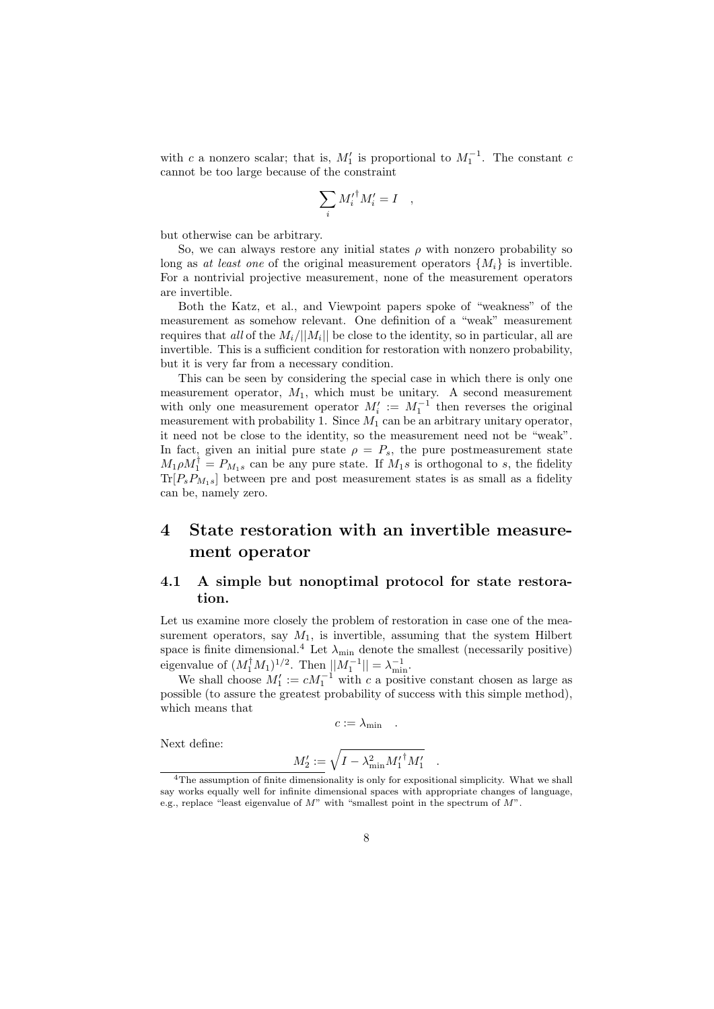with c a nonzero scalar; that is,  $M'_1$  is proportional to  $M_1^{-1}$ . The constant c cannot be too large because of the constraint

$$
\sum_i {M'_i}^\dagger M'_i = I \quad,
$$

but otherwise can be arbitrary.

So, we can always restore any initial states  $\rho$  with nonzero probability so long as at least one of the original measurement operators  $\{M_i\}$  is invertible. For a nontrivial projective measurement, none of the measurement operators are invertible.

Both the Katz, et al., and Viewpoint papers spoke of "weakness" of the measurement as somehow relevant. One definition of a "weak" measurement requires that all of the  $M_i/||M_i||$  be close to the identity, so in particular, all are invertible. This is a sufficient condition for restoration with nonzero probability, but it is very far from a necessary condition.

This can be seen by considering the special case in which there is only one measurement operator,  $M_1$ , which must be unitary. A second measurement with only one measurement operator  $M'_i := M_1^{-1}$  then reverses the original measurement with probability 1. Since  $M_1$  can be an arbitrary unitary operator, it need not be close to the identity, so the measurement need not be "weak". In fact, given an initial pure state  $\rho = P_s$ , the pure postmeasurement state  $M_1 \rho M_1^{\dagger} = P_{M_1 s}$  can be any pure state. If  $M_1 s$  is orthogonal to s, the fidelity  $Tr[P_sP_{M_1s}]$  between pre and post measurement states is as small as a fidelity can be, namely zero.

# 4 State restoration with an invertible measurement operator

## 4.1 A simple but nonoptimal protocol for state restoration.

Let us examine more closely the problem of restoration in case one of the measurement operators, say  $M_1$ , is invertible, assuming that the system Hilbert space is finite dimensional.<sup>4</sup> Let  $\lambda_{\min}$  denote the smallest (necessarily positive) eigenvalue of  $(M_1^{\dagger} M_1)^{1/2}$ . Then  $||M_1^{-1}|| = \lambda_{\min}^{-1}$ .

We shall choose  $M_1' := cM_1^{-1}$  with c a positive constant chosen as large as possible (to assure the greatest probability of success with this simple method), which means that

$$
c := \lambda_{\min} \quad .
$$

Next define:

$$
M_2' := \sqrt{I - \lambda_{\min}^2 {M_1'}^\dagger M_1'} \quad.
$$

<sup>&</sup>lt;sup>4</sup>The assumption of finite dimensionality is only for expositional simplicity. What we shall say works equally well for infinite dimensional spaces with appropriate changes of language, e.g., replace "least eigenvalue of  $M$ " with "smallest point in the spectrum of  $M$ ".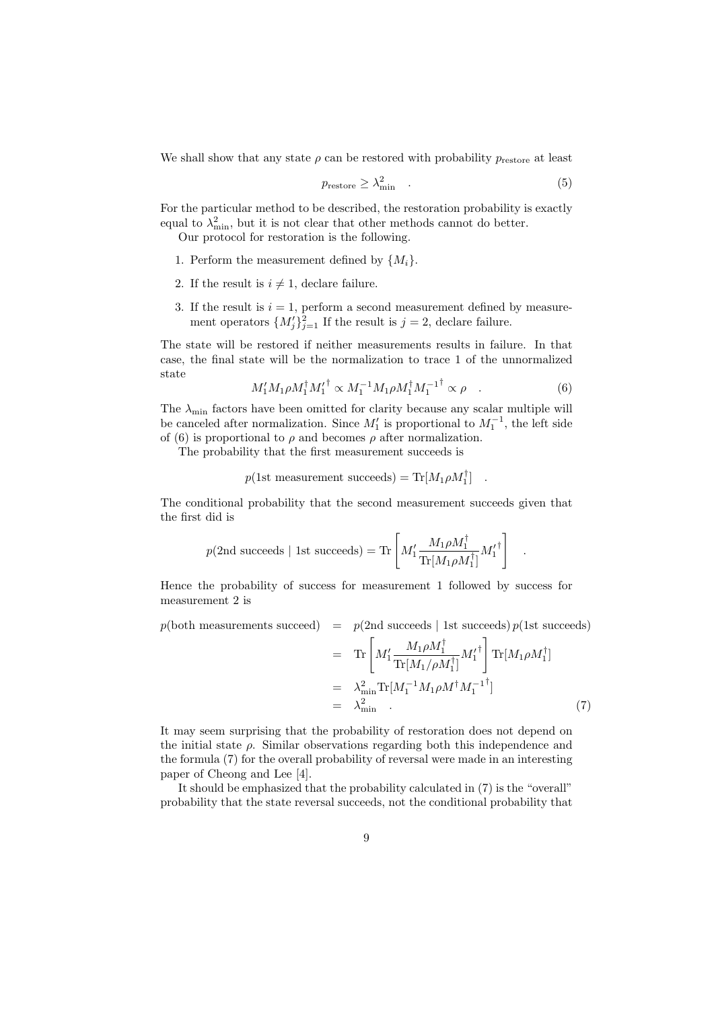We shall show that any state  $\rho$  can be restored with probability  $p_{\text{restore}}$  at least

$$
p_{\text{restore}} \ge \lambda_{\min}^2 \quad . \tag{5}
$$

For the particular method to be described, the restoration probability is exactly equal to  $\lambda_{\min}^2$ , but it is not clear that other methods cannot do better.

Our protocol for restoration is the following.

- 1. Perform the measurement defined by  $\{M_i\}$ .
- 2. If the result is  $i \neq 1$ , declare failure.
- 3. If the result is  $i = 1$ , perform a second measurement defined by measurement operators  $\{M_j'\}_{j=1}^2$  If the result is  $j=2$ , declare failure.

The state will be restored if neither measurements results in failure. In that case, the final state will be the normalization to trace 1 of the unnormalized state

$$
M_1' M_1 \rho M_1^{\dagger} M_1'^{\dagger} \propto M_1^{-1} M_1 \rho M_1^{\dagger} M_1^{-1^{\dagger}} \propto \rho \quad . \tag{6}
$$

.

The  $\lambda_{\text{min}}$  factors have been omitted for clarity because any scalar multiple will be canceled after normalization. Since  $M'_1$  is proportional to  $M_1^{-1}$ , the left side of (6) is proportional to  $\rho$  and becomes  $\rho$  after normalization.

The probability that the first measurement succeeds is

$$
p(\text{1st measurement succeeds}) = \text{Tr}[M_1 \rho M_1^{\dagger}]
$$
.

The conditional probability that the second measurement succeeds given that the first did is

$$
p(\text{2nd succeeds} \mid \text{1st succeeds}) = \text{Tr}\left[M_1' \frac{M_1 \rho M_1^\dagger}{\text{Tr}[M_1 \rho M_1^\dagger]} {M_1'}^\dagger\right]
$$

Hence the probability of success for measurement 1 followed by success for measurement 2 is

$$
p(\text{both measurements succeed}) = p(\text{2nd succeeds} | \text{1st succeeds}) p(\text{1st succeeds})
$$
\n
$$
= \text{Tr} \left[ M_1' \frac{M_1 \rho M_1^{\dagger}}{\text{Tr}[M_1/\rho M_1^{\dagger}]} M_1'^{\dagger} \right] \text{Tr}[M_1 \rho M_1^{\dagger}]
$$
\n
$$
= \lambda_{\text{min}}^2 \text{Tr}[M_1^{-1} M_1 \rho M^{\dagger} M_1^{-1^{\dagger}}]
$$
\n
$$
= \lambda_{\text{min}}^2 \tag{7}
$$

It may seem surprising that the probability of restoration does not depend on the initial state  $\rho$ . Similar observations regarding both this independence and the formula (7) for the overall probability of reversal were made in an interesting paper of Cheong and Lee [4].

It should be emphasized that the probability calculated in (7) is the "overall" probability that the state reversal succeeds, not the conditional probability that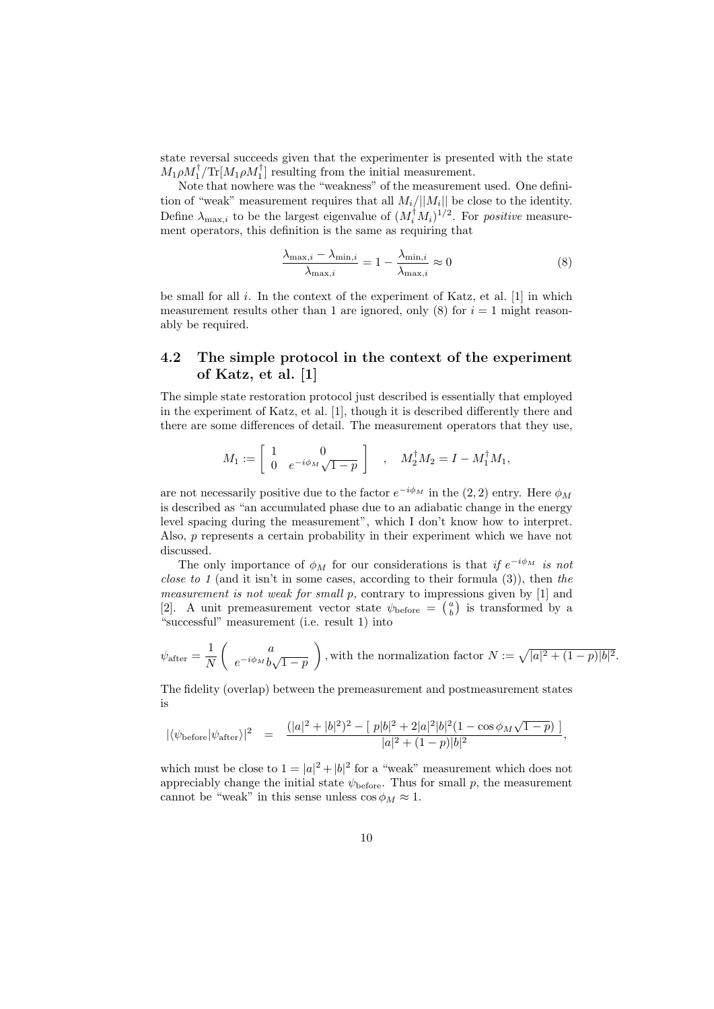state reversal succeeds given that the experimenter is presented with the state  $M_1 \rho M_1^{\dagger} / \text{Tr} [M_1 \rho M_1^{\dagger}]$  resulting from the initial measurement.

Note that nowhere was the "weakness" of the measurement used. One definition of "weak" measurement requires that all  $M_i/||M_i||$  be close to the identity. Define  $\lambda_{\max,i}$  to be the largest eigenvalue of  $(M_i^{\dagger} M_i)^{1/2}$ . For *positive* measurement operators, this definition is the same as requiring that

$$
\frac{\lambda_{\max,i} - \lambda_{\min,i}}{\lambda_{\max,i}} = 1 - \frac{\lambda_{\min,i}}{\lambda_{\max,i}} \approx 0
$$
\n(8)

be small for all  $i$ . In the context of the experiment of Katz, et al. [1] in which measurement results other than 1 are ignored, only (8) for  $i = 1$  might reasonably be required.

## 4.2 The simple protocol in the context of the experiment of Katz, et al. [1]

The simple state restoration protocol just described is essentially that employed in the experiment of Katz, et al. [1], though it is described differently there and there are some differences of detail. The measurement operators that they use,

$$
M_1 := \left[ \begin{array}{cc} 1 & 0 \\ 0 & e^{-i\phi_M} \sqrt{1-p} \end{array} \right] , \quad M_2^{\dagger} M_2 = I - M_1^{\dagger} M_1,
$$

are not necessarily positive due to the factor  $e^{-i\phi_M}$  in the  $(2, 2)$  entry. Here  $\phi_M$ is described as "an accumulated phase due to an adiabatic change in the energy level spacing during the measurement", which I don't know how to interpret. Also, p represents a certain probability in their experiment which we have not discussed.

The only importance of  $\phi_M$  for our considerations is that if  $e^{-i\phi_M}$  is not *close to 1* (and it isn't in some cases, according to their formula  $(3)$ ), then the measurement is not weak for small p, contrary to impressions given by [1] and [2]. A unit premeasurement vector state  $\psi_{\text{before}} = \begin{pmatrix} a \\ b \end{pmatrix}$  is transformed by a "successful" measurement (i.e. result 1) into

$$
\psi_{\text{after}} = \frac{1}{N} \begin{pmatrix} a \\ e^{-i\phi_M} b \sqrt{1-p} \end{pmatrix}
$$
, with the normalization factor  $N := \sqrt{|a|^2 + (1-p)|b|^2}$ .

The fidelity (overlap) between the premeasurement and postmeasurement states is

$$
|\langle \psi_{\rm before} | \psi_{\rm after} \rangle |^2 \quad = \quad \frac{(|a|^2 + |b|^2)^2 - [ \ p|b|^2 + 2|a|^2|b|^2(1 - \cos\phi_M\sqrt{1-p}) \ ]}{|a|^2 + (1-p)|b|^2},
$$

which must be close to  $1 = |a|^2 + |b|^2$  for a "weak" measurement which does not appreciably change the initial state  $\psi_{\text{before}}$ . Thus for small p, the measurement cannot be "weak" in this sense unless  $\cos \phi_M \approx 1$ .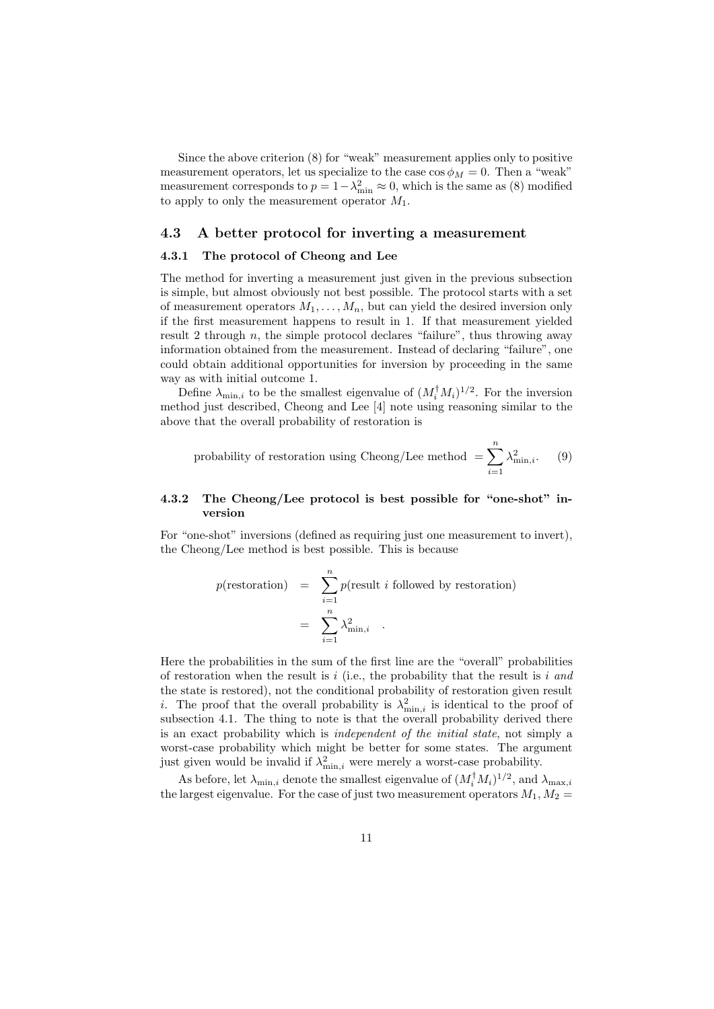Since the above criterion (8) for "weak" measurement applies only to positive measurement operators, let us specialize to the case  $\cos \phi_M = 0$ . Then a "weak" measurement corresponds to  $p = 1 - \lambda_{\min}^2 \approx 0$ , which is the same as (8) modified to apply to only the measurement operator  $M_1$ .

#### 4.3 A better protocol for inverting a measurement

### 4.3.1 The protocol of Cheong and Lee

The method for inverting a measurement just given in the previous subsection is simple, but almost obviously not best possible. The protocol starts with a set of measurement operators  $M_1, \ldots, M_n$ , but can yield the desired inversion only if the first measurement happens to result in 1. If that measurement yielded result 2 through  $n$ , the simple protocol declares "failure", thus throwing away information obtained from the measurement. Instead of declaring "failure", one could obtain additional opportunities for inversion by proceeding in the same way as with initial outcome 1.

Define  $\lambda_{\min,i}$  to be the smallest eigenvalue of  $(M_i^{\dagger} M_i)^{1/2}$ . For the inversion method just described, Cheong and Lee [4] note using reasoning similar to the above that the overall probability of restoration is

probability of restoration using Cheong/Lee method = 
$$
\sum_{i=1}^{n} \lambda_{\min,i}^2.
$$
 (9)

#### 4.3.2 The Cheong/Lee protocol is best possible for "one-shot" inversion

For "one-shot" inversions (defined as requiring just one measurement to invert), the Cheong/Lee method is best possible. This is because

$$
p(\text{restoration}) = \sum_{i=1}^{n} p(\text{result } i \text{ followed by restoration})
$$

$$
= \sum_{i=1}^{n} \lambda_{\min,i}^{2} .
$$

Here the probabilities in the sum of the first line are the "overall" probabilities of restoration when the result is i (i.e., the probability that the result is i and the state is restored), not the conditional probability of restoration given result *i*. The proof that the overall probability is  $\lambda_{\min,i}^2$  is identical to the proof of subsection 4.1. The thing to note is that the overall probability derived there is an exact probability which is independent of the initial state, not simply a worst-case probability which might be better for some states. The argument just given would be invalid if  $\lambda_{\min,i}^2$  were merely a worst-case probability.

As before, let  $\lambda_{\min,i}$  denote the smallest eigenvalue of  $(M_i^{\dagger} M_i)^{1/2}$ , and  $\lambda_{\max,i}$ the largest eigenvalue. For the case of just two measurement operators  $M_1, M_2 =$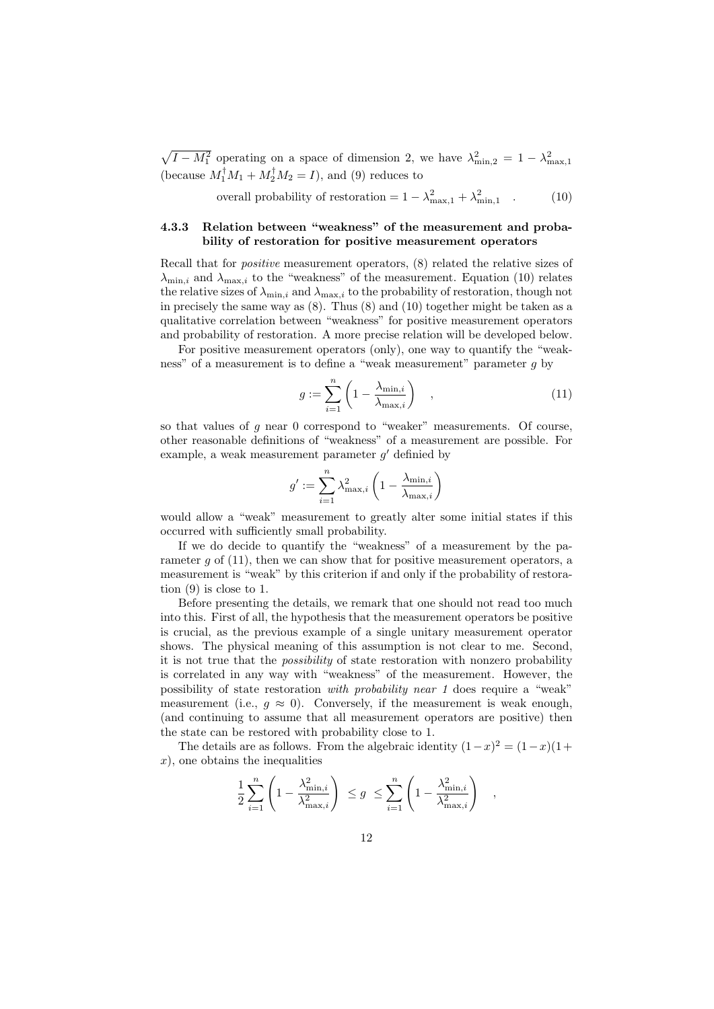$\sqrt{I - M_1^2}$  operating on a space of dimension 2, we have  $\lambda_{\min,2}^2 = 1 - \lambda_{\max,1}^2$ (because  $M_1^{\dagger}M_1 + M_2^{\dagger}M_2 = I$ ), and (9) reduces to

overall probability of restoration =  $1 - \lambda_{\text{max},1}^2 + \lambda_{\text{min},1}^2$  (10)

### 4.3.3 Relation between "weakness" of the measurement and probability of restoration for positive measurement operators

Recall that for positive measurement operators, (8) related the relative sizes of  $\lambda_{\min,i}$  and  $\lambda_{\max,i}$  to the "weakness" of the measurement. Equation (10) relates the relative sizes of  $\lambda_{\min,i}$  and  $\lambda_{\max,i}$  to the probability of restoration, though not in precisely the same way as (8). Thus (8) and (10) together might be taken as a qualitative correlation between "weakness" for positive measurement operators and probability of restoration. A more precise relation will be developed below.

For positive measurement operators (only), one way to quantify the "weakness" of a measurement is to define a "weak measurement" parameter g by

$$
g := \sum_{i=1}^{n} \left( 1 - \frac{\lambda_{\min,i}}{\lambda_{\max,i}} \right) \quad , \tag{11}
$$

so that values of  $g$  near 0 correspond to "weaker" measurements. Of course, other reasonable definitions of "weakness" of a measurement are possible. For example, a weak measurement parameter  $g'$  definied by

$$
g' := \sum_{i=1}^{n} \lambda_{\max,i}^2 \left(1 - \frac{\lambda_{\min,i}}{\lambda_{\max,i}}\right)
$$

would allow a "weak" measurement to greatly alter some initial states if this occurred with sufficiently small probability.

If we do decide to quantify the "weakness" of a measurement by the parameter  $g$  of  $(11)$ , then we can show that for positive measurement operators, a measurement is "weak" by this criterion if and only if the probability of restoration (9) is close to 1.

Before presenting the details, we remark that one should not read too much into this. First of all, the hypothesis that the measurement operators be positive is crucial, as the previous example of a single unitary measurement operator shows. The physical meaning of this assumption is not clear to me. Second, it is not true that the possibility of state restoration with nonzero probability is correlated in any way with "weakness" of the measurement. However, the possibility of state restoration with probability near 1 does require a "weak" measurement (i.e.,  $q \approx 0$ ). Conversely, if the measurement is weak enough, (and continuing to assume that all measurement operators are positive) then the state can be restored with probability close to 1.

The details are as follows. From the algebraic identity  $(1-x)^2 = (1-x)(1+x)$  $x$ , one obtains the inequalities

$$
\frac{1}{2} \sum_{i=1}^{n} \left( 1 - \frac{\lambda_{\min,i}^2}{\lambda_{\max,i}^2} \right) \le g \le \sum_{i=1}^{n} \left( 1 - \frac{\lambda_{\min,i}^2}{\lambda_{\max,i}^2} \right) ,
$$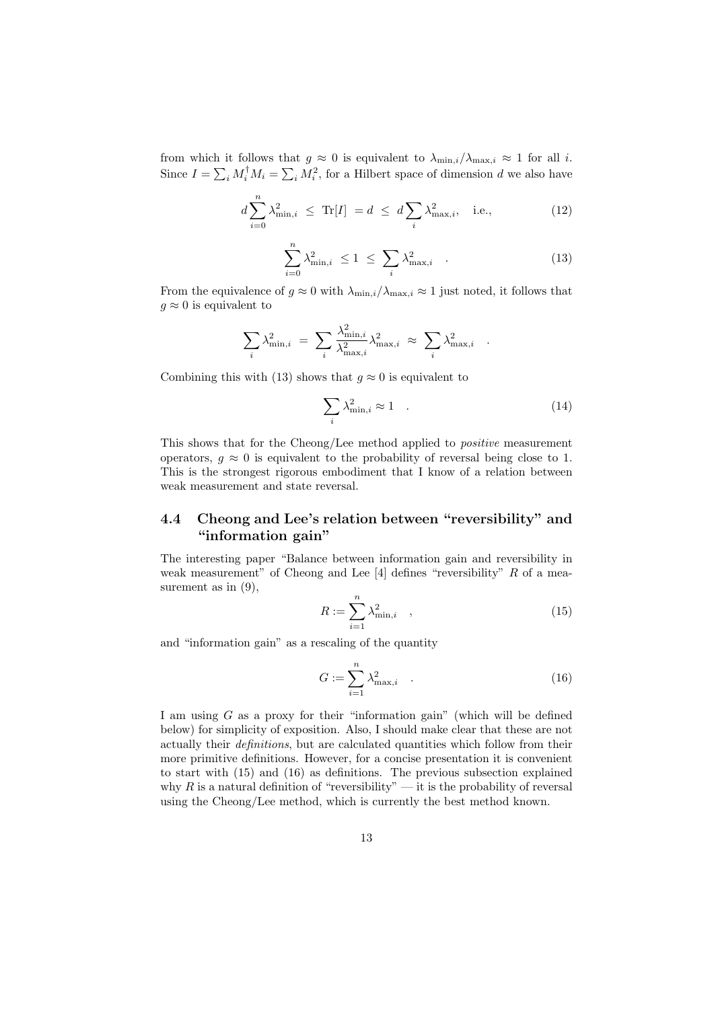from which it follows that  $g \approx 0$  is equivalent to  $\lambda_{\min,i}/\lambda_{\max,i} \approx 1$  for all *i*. Since  $I = \sum_i M_i^{\dagger} M_i = \sum_i M_i^2$ , for a Hilbert space of dimension d we also have

$$
d\sum_{i=0}^{n} \lambda_{\min,i}^2 \le \text{Tr}[I] = d \le d\sum_{i} \lambda_{\max,i}^2, \quad \text{i.e.,}
$$
 (12)

$$
\sum_{i=0}^{n} \lambda_{\min,i}^2 \le 1 \le \sum_{i} \lambda_{\max,i}^2 \quad . \tag{13}
$$

From the equivalence of  $g \approx 0$  with  $\lambda_{\min,i}/\lambda_{\max,i} \approx 1$  just noted, it follows that  $g \approx 0$  is equivalent to

$$
\sum_{i} \lambda_{\min,i}^{2} = \sum_{i} \frac{\lambda_{\min,i}^{2}}{\lambda_{\max,i}^{2}} \lambda_{\max,i}^{2} \approx \sum_{i} \lambda_{\max,i}^{2}
$$

Combining this with (13) shows that  $q \approx 0$  is equivalent to

$$
\sum_{i} \lambda_{\min,i}^2 \approx 1 \quad . \tag{14}
$$

.

This shows that for the Cheong/Lee method applied to positive measurement operators,  $g \approx 0$  is equivalent to the probability of reversal being close to 1. This is the strongest rigorous embodiment that I know of a relation between weak measurement and state reversal.

## 4.4 Cheong and Lee's relation between "reversibility" and "information gain"

The interesting paper "Balance between information gain and reversibility in weak measurement" of Cheong and Lee [4] defines "reversibility" R of a measurement as in  $(9)$ ,

$$
R := \sum_{i=1}^{n} \lambda_{\min,i}^2 \quad , \tag{15}
$$

and "information gain" as a rescaling of the quantity

$$
G := \sum_{i=1}^{n} \lambda_{\max,i}^2
$$
 (16)

I am using G as a proxy for their "information gain" (which will be defined below) for simplicity of exposition. Also, I should make clear that these are not actually their definitions, but are calculated quantities which follow from their more primitive definitions. However, for a concise presentation it is convenient to start with (15) and (16) as definitions. The previous subsection explained why R is a natural definition of "reversibility" — it is the probability of reversal using the Cheong/Lee method, which is currently the best method known.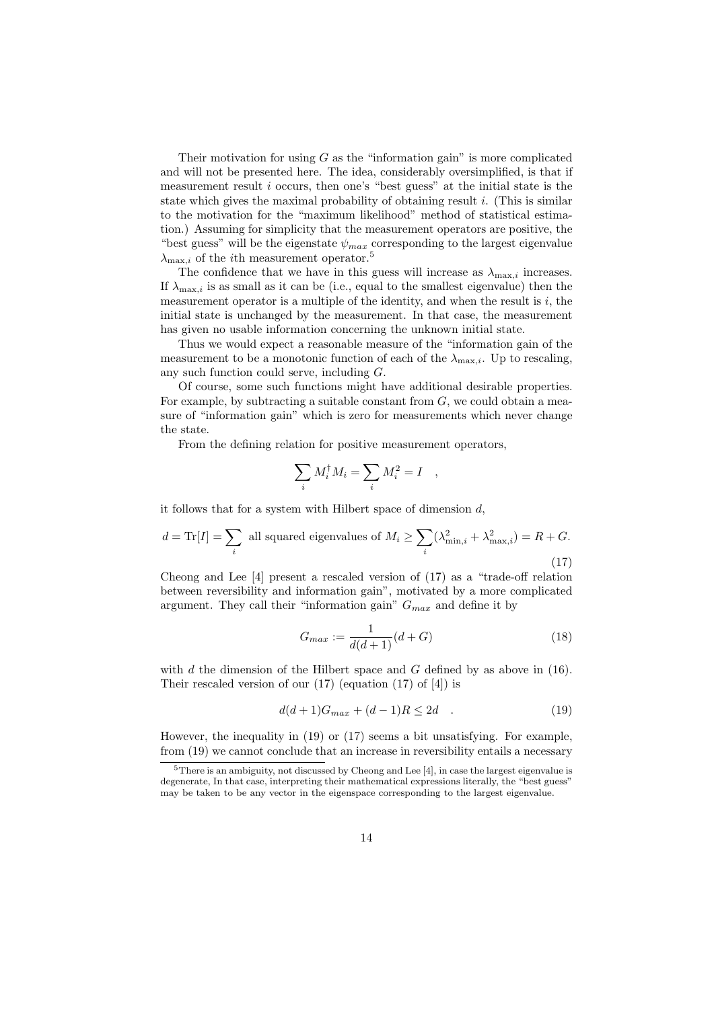Their motivation for using  $G$  as the "information gain" is more complicated and will not be presented here. The idea, considerably oversimplified, is that if measurement result i occurs, then one's "best guess" at the initial state is the state which gives the maximal probability of obtaining result  $i$ . (This is similar to the motivation for the "maximum likelihood" method of statistical estimation.) Assuming for simplicity that the measurement operators are positive, the "best guess" will be the eigenstate  $\psi_{max}$  corresponding to the largest eigenvalue  $\lambda_{\text{max }i}$  of the *i*th measurement operator.<sup>5</sup>

The confidence that we have in this guess will increase as  $\lambda_{\max,i}$  increases. If  $\lambda_{\max,i}$  is as small as it can be (i.e., equal to the smallest eigenvalue) then the measurement operator is a multiple of the identity, and when the result is  $i$ , the initial state is unchanged by the measurement. In that case, the measurement has given no usable information concerning the unknown initial state.

Thus we would expect a reasonable measure of the "information gain of the measurement to be a monotonic function of each of the  $\lambda_{\max,i}$ . Up to rescaling, any such function could serve, including G.

Of course, some such functions might have additional desirable properties. For example, by subtracting a suitable constant from  $G$ , we could obtain a measure of "information gain" which is zero for measurements which never change the state.

From the defining relation for positive measurement operators,

$$
\sum_i M_i^\dagger M_i = \sum_i M_i^2 = I \quad ,
$$

it follows that for a system with Hilbert space of dimension  $d$ ,

$$
d = \text{Tr}[I] = \sum_{i} \text{ all squared eigenvalues of } M_i \ge \sum_{i} (\lambda_{\text{min},i}^2 + \lambda_{\text{max},i}^2) = R + G. \tag{17}
$$

Cheong and Lee [4] present a rescaled version of (17) as a "trade-off relation between reversibility and information gain", motivated by a more complicated argument. They call their "information gain"  $G_{max}$  and define it by

$$
G_{max} := \frac{1}{d(d+1)}(d+G)
$$
 (18)

with  $d$  the dimension of the Hilbert space and  $G$  defined by as above in (16). Their rescaled version of our (17) (equation (17) of [4]) is

$$
d(d+1)G_{max} + (d-1)R \le 2d \quad . \tag{19}
$$

However, the inequality in (19) or (17) seems a bit unsatisfying. For example, from (19) we cannot conclude that an increase in reversibility entails a necessary

 $5$ There is an ambiguity, not discussed by Cheong and Lee [4], in case the largest eigenvalue is degenerate, In that case, interpreting their mathematical expressions literally, the "best guess" may be taken to be any vector in the eigenspace corresponding to the largest eigenvalue.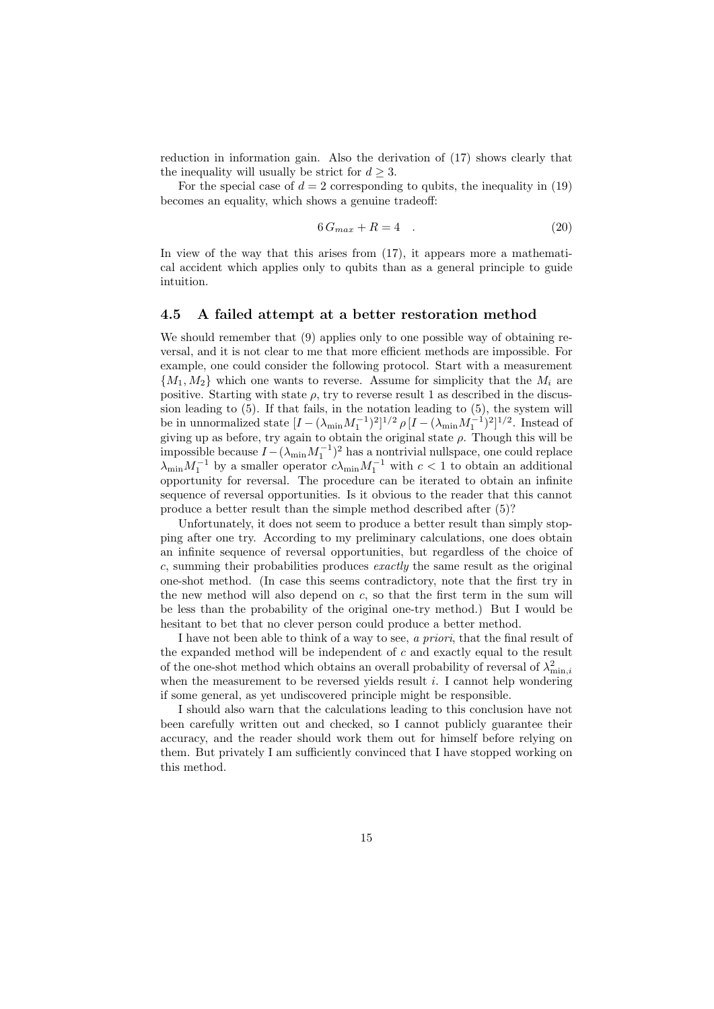reduction in information gain. Also the derivation of (17) shows clearly that the inequality will usually be strict for  $d \geq 3$ .

For the special case of  $d = 2$  corresponding to qubits, the inequality in (19) becomes an equality, which shows a genuine tradeoff:

$$
6G_{max} + R = 4 \quad . \tag{20}
$$

In view of the way that this arises from (17), it appears more a mathematical accident which applies only to qubits than as a general principle to guide intuition.

#### 4.5 A failed attempt at a better restoration method

We should remember that (9) applies only to one possible way of obtaining reversal, and it is not clear to me that more efficient methods are impossible. For example, one could consider the following protocol. Start with a measurement  $\{M_1, M_2\}$  which one wants to reverse. Assume for simplicity that the  $M_i$  are positive. Starting with state  $\rho$ , try to reverse result 1 as described in the discussion leading to (5). If that fails, in the notation leading to (5), the system will be in unnormalized state  $[I - (\lambda_{\min} M_1^{-1})^2]^{1/2} \rho [I - (\lambda_{\min} M_1^{-1})^2]^{1/2}$ . Instead of giving up as before, try again to obtain the original state  $\rho$ . Though this will be impossible because  $I - (\lambda_{\min} M_1^{-1})^2$  has a nontrivial nullspace, one could replace  $\lambda_{\min} M_1^{-1}$  by a smaller operator  $c \lambda_{\min} M_1^{-1}$  with  $c < 1$  to obtain an additional opportunity for reversal. The procedure can be iterated to obtain an infinite sequence of reversal opportunities. Is it obvious to the reader that this cannot produce a better result than the simple method described after (5)?

Unfortunately, it does not seem to produce a better result than simply stopping after one try. According to my preliminary calculations, one does obtain an infinite sequence of reversal opportunities, but regardless of the choice of c, summing their probabilities produces exactly the same result as the original one-shot method. (In case this seems contradictory, note that the first try in the new method will also depend on  $c$ , so that the first term in the sum will be less than the probability of the original one-try method.) But I would be hesitant to bet that no clever person could produce a better method.

I have not been able to think of a way to see, a priori, that the final result of the expanded method will be independent of c and exactly equal to the result of the one-shot method which obtains an overall probability of reversal of  $\lambda_{\min,i}^2$ when the measurement to be reversed yields result  $i$ . I cannot help wondering if some general, as yet undiscovered principle might be responsible.

I should also warn that the calculations leading to this conclusion have not been carefully written out and checked, so I cannot publicly guarantee their accuracy, and the reader should work them out for himself before relying on them. But privately I am sufficiently convinced that I have stopped working on this method.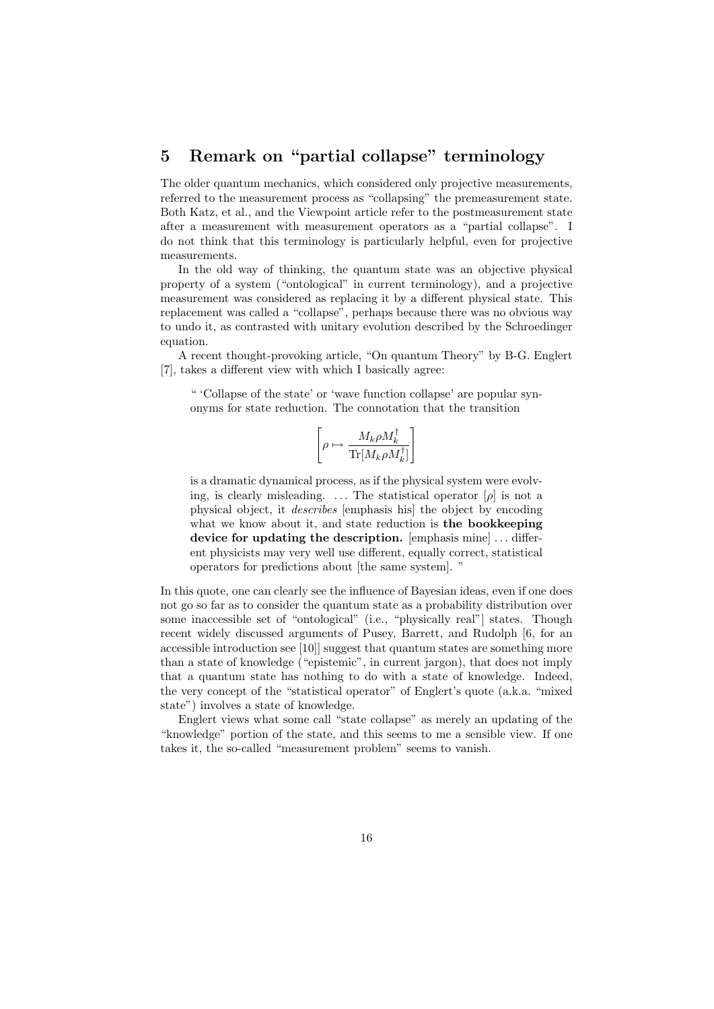# 5 Remark on "partial collapse" terminology

The older quantum mechanics, which considered only projective measurements, referred to the measurement process as "collapsing" the premeasurement state. Both Katz, et al., and the Viewpoint article refer to the postmeasurement state after a measurement with measurement operators as a "partial collapse". I do not think that this terminology is particularly helpful, even for projective measurements.

In the old way of thinking, the quantum state was an objective physical property of a system ("ontological" in current terminology), and a projective measurement was considered as replacing it by a different physical state. This replacement was called a "collapse", perhaps because there was no obvious way to undo it, as contrasted with unitary evolution described by the Schroedinger equation.

A recent thought-provoking article, "On quantum Theory" by B-G. Englert [7], takes a different view with which I basically agree:

" 'Collapse of the state' or 'wave function collapse' are popular synonyms for state reduction. The connotation that the transition

$$
\left[\rho\mapsto \frac{M_k\rho M_k^\dagger}{\text{Tr}[M_k\rho M_k^\dagger]}\right]
$$

is a dramatic dynamical process, as if the physical system were evolving, is clearly misleading. ... The statistical operator  $[\rho]$  is not a physical object, it describes [emphasis his] the object by encoding what we know about it, and state reduction is the bookkeeping device for updating the description. [emphasis mine] ... different physicists may very well use different, equally correct, statistical operators for predictions about [the same system]. "

In this quote, one can clearly see the influence of Bayesian ideas, even if one does not go so far as to consider the quantum state as a probability distribution over some inaccessible set of "ontological" (i.e., "physically real"] states. Though recent widely discussed arguments of Pusey, Barrett, and Rudolph [6, for an accessible introduction see [10]] suggest that quantum states are something more than a state of knowledge ("epistemic", in current jargon), that does not imply that a quantum state has nothing to do with a state of knowledge. Indeed, the very concept of the "statistical operator" of Englert's quote (a.k.a. "mixed state") involves a state of knowledge.

Englert views what some call "state collapse" as merely an updating of the "knowledge" portion of the state, and this seems to me a sensible view. If one takes it, the so-called "measurement problem" seems to vanish.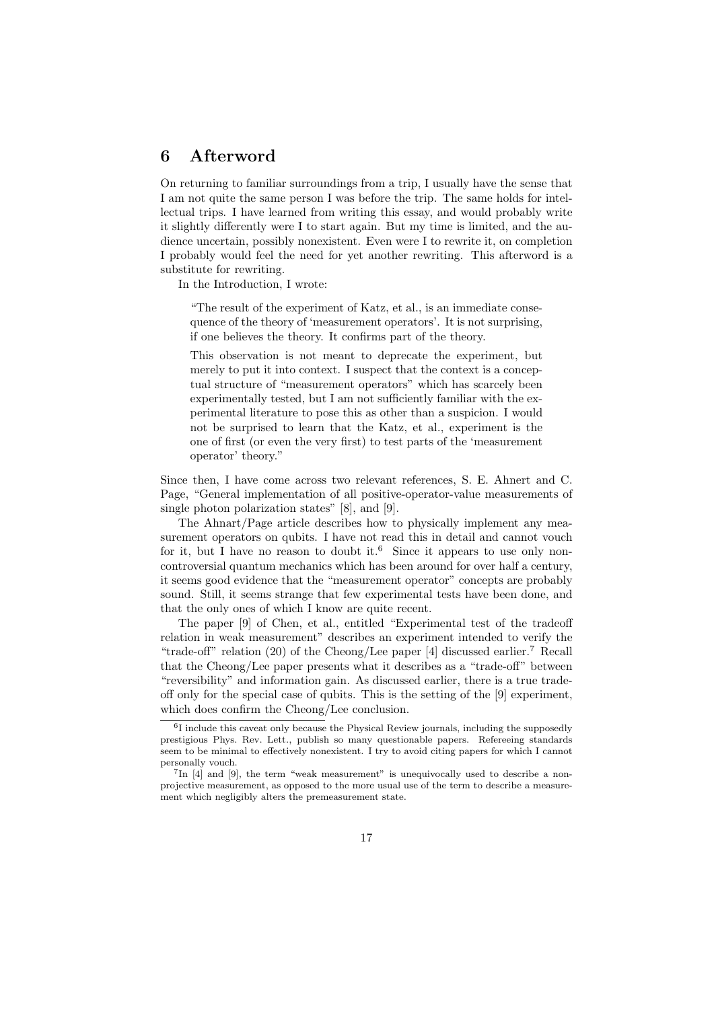# 6 Afterword

On returning to familiar surroundings from a trip, I usually have the sense that I am not quite the same person I was before the trip. The same holds for intellectual trips. I have learned from writing this essay, and would probably write it slightly differently were I to start again. But my time is limited, and the audience uncertain, possibly nonexistent. Even were I to rewrite it, on completion I probably would feel the need for yet another rewriting. This afterword is a substitute for rewriting.

In the Introduction, I wrote:

"The result of the experiment of Katz, et al., is an immediate consequence of the theory of 'measurement operators'. It is not surprising, if one believes the theory. It confirms part of the theory.

This observation is not meant to deprecate the experiment, but merely to put it into context. I suspect that the context is a conceptual structure of "measurement operators" which has scarcely been experimentally tested, but I am not sufficiently familiar with the experimental literature to pose this as other than a suspicion. I would not be surprised to learn that the Katz, et al., experiment is the one of first (or even the very first) to test parts of the 'measurement operator' theory."

Since then, I have come across two relevant references, S. E. Ahnert and C. Page, "General implementation of all positive-operator-value measurements of single photon polarization states" [8], and [9].

The Ahnart/Page article describes how to physically implement any measurement operators on qubits. I have not read this in detail and cannot vouch for it, but I have no reason to doubt it.<sup>6</sup> Since it appears to use only noncontroversial quantum mechanics which has been around for over half a century, it seems good evidence that the "measurement operator" concepts are probably sound. Still, it seems strange that few experimental tests have been done, and that the only ones of which I know are quite recent.

The paper [9] of Chen, et al., entitled "Experimental test of the tradeoff relation in weak measurement" describes an experiment intended to verify the "trade-off" relation  $(20)$  of the Cheong/Lee paper [4] discussed earlier.<sup>7</sup> Recall that the Cheong/Lee paper presents what it describes as a "trade-off" between "reversibility" and information gain. As discussed earlier, there is a true tradeoff only for the special case of qubits. This is the setting of the [9] experiment, which does confirm the Cheong/Lee conclusion.

<sup>6</sup> I include this caveat only because the Physical Review journals, including the supposedly prestigious Phys. Rev. Lett., publish so many questionable papers. Refereeing standards seem to be minimal to effectively nonexistent. I try to avoid citing papers for which I cannot personally vouch.

<sup>&</sup>lt;sup>7</sup>In [4] and [9], the term "weak measurement" is unequivocally used to describe a nonprojective measurement, as opposed to the more usual use of the term to describe a measurement which negligibly alters the premeasurement state.